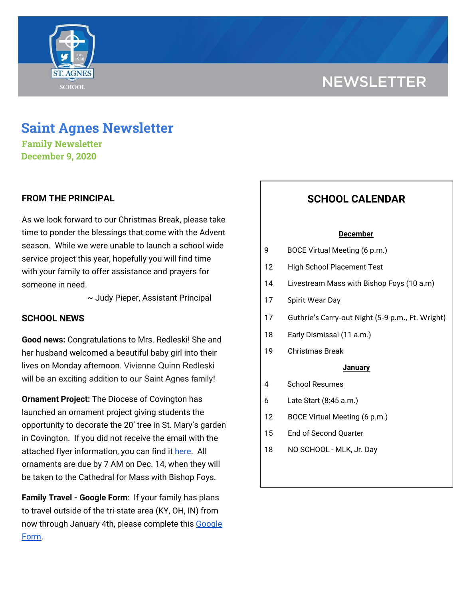# **NEWSLETTER**



# **Saint Agnes Newsletter**

**Family Newsletter December 9, 2020**

## **FROM THE PRINCIPAL**

As we look forward to our Christmas Break, please take time to ponder the blessings that come with the Advent season. While we were unable to launch a school wide service project this year, hopefully you will find time with your family to offer assistance and prayers for someone in need.

~ Judy Pieper, Assistant Principal

## **SCHOOL NEWS**

**Good news:** Congratulations to Mrs. Redleski! She and her husband welcomed a beautiful baby girl into their lives on Monday afternoon. Vivienne Quinn Redleski will be an exciting addition to our Saint Agnes family!

**Ornament Project:** The Diocese of Covington has launched an ornament project giving students the opportunity to decorate the 20' tree in St. Mary's garden in Covington. If you did not receive the email with the attached flyer information, you can find it [here.](https://drive.google.com/file/d/1NTwPFdLX8bSO9tX6T9-qsNVkRpXsEhJ0/view?usp=sharing) All ornaments are due by 7 AM on Dec. 14, when they will be taken to the Cathedral for Mass with Bishop Foys.

**Family Travel - Google Form**: If your family has plans to travel outside of the tri-state area (KY, OH, IN) from now through January 4th, please complete this [Google](https://docs.google.com/forms/d/e/1FAIpQLSfFM-ZAlSxO2UPHBz7UuV56wGWfebAHwFLUEsy2NnajQKNbhA/viewform?usp=sf_link) [Form.](https://docs.google.com/forms/d/e/1FAIpQLSfFM-ZAlSxO2UPHBz7UuV56wGWfebAHwFLUEsy2NnajQKNbhA/viewform?usp=sf_link)

# **SCHOOL CALENDAR**

#### **December**

- 9 BOCE Virtual Meeting (6 p.m.)
- 12 High School Placement Test
- 14 Livestream Mass with Bishop Foys (10 a.m)
- 17 Spirit Wear Day
- 17 Guthrie's Carry-out Night (5-9 p.m., Ft. Wright)
- 18 Early Dismissal (11 a.m.)
- 19 Christmas Break

#### **January**

- 4 School Resumes
- 6 Late Start (8:45 a.m.)
- 12 BOCE Virtual Meeting (6 p.m.)
- 15 End of Second Quarter
- 18 NO SCHOOL MLK, Jr. Day